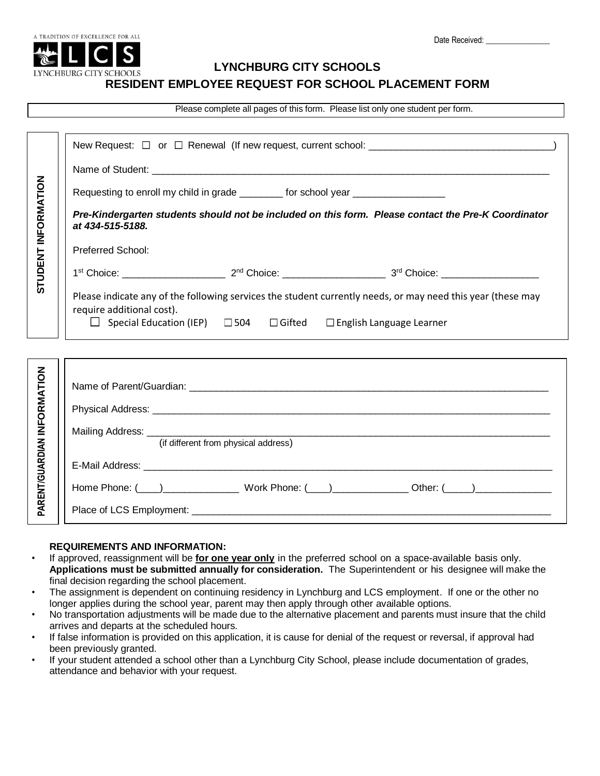

## **LYNCHBURG CITY SCHOOLS**

### **RESIDENT EMPLOYEE REQUEST FOR SCHOOL PLACEMENT FORM**

Please complete all pages of this form. Please list only one student per form.

| STUDENT INFORMATION         |                                                                                                                                                                                                                                     |
|-----------------------------|-------------------------------------------------------------------------------------------------------------------------------------------------------------------------------------------------------------------------------------|
|                             | Requesting to enroll my child in grade _________for school year ________________                                                                                                                                                    |
|                             | Pre-Kindergarten students should not be included on this form. Please contact the Pre-K Coordinator<br>at 434-515-5188.                                                                                                             |
|                             | Preferred School:                                                                                                                                                                                                                   |
|                             |                                                                                                                                                                                                                                     |
|                             | Please indicate any of the following services the student currently needs, or may need this year (these may<br>require additional cost).<br>$\Box$ Special Education (IEP) $\Box$ 504 $\Box$ Gifted $\Box$ English Language Learner |
|                             |                                                                                                                                                                                                                                     |
|                             |                                                                                                                                                                                                                                     |
|                             | Physical Address: No. 2008. The Contract of the Contract of the Contract of the Contract of the Contract of the Contract of the Contract of the Contract of the Contract of the Contract of the Contract of the Contract of th      |
| PARENT/GUARDIAN INFORMATION | (if different from physical address)                                                                                                                                                                                                |
|                             |                                                                                                                                                                                                                                     |
|                             |                                                                                                                                                                                                                                     |
|                             |                                                                                                                                                                                                                                     |

# **REQUIREMENTS AND INFORMATION:**

• If approved, reassignment will be **for one year only** in the preferred school on a space-available basis only. **Applications must be submitted annually for consideration.** The Superintendent or his designee will make the final decision regarding the school placement.

- The assignment is dependent on continuing residency in Lynchburg and LCS employment. If one or the other no longer applies during the school year, parent may then apply through other available options.
- No transportation adjustments will be made due to the alternative placement and parents must insure that the child arrives and departs at the scheduled hours.
- If false information is provided on this application, it is cause for denial of the request or reversal, if approval had been previously granted.
- If your student attended a school other than a Lynchburg City School, please include documentation of grades, attendance and behavior with your request.